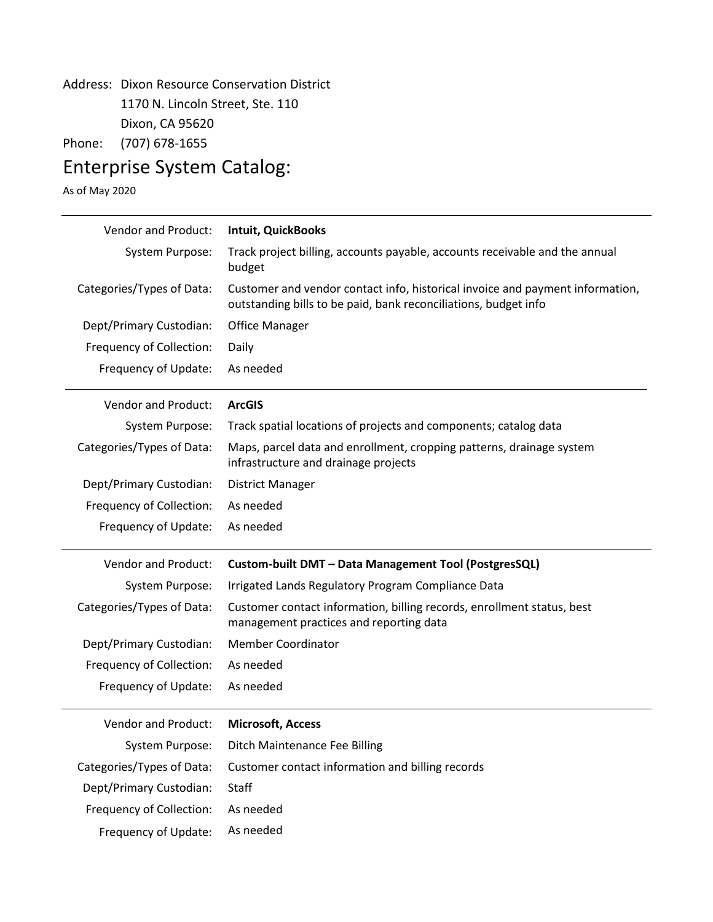## Address: Dixon Resource Conservation District 1170 N. Lincoln Street, Ste. 110 Dixon, CA 95620

Phone: (707) 678-1655

## Enterprise System Catalog:

As of May 2020

| Vendor and Product:        | Intuit, QuickBooks                                                                                                                               |
|----------------------------|--------------------------------------------------------------------------------------------------------------------------------------------------|
| System Purpose:            | Track project billing, accounts payable, accounts receivable and the annual<br>budget                                                            |
| Categories/Types of Data:  | Customer and vendor contact info, historical invoice and payment information,<br>outstanding bills to be paid, bank reconciliations, budget info |
| Dept/Primary Custodian:    | <b>Office Manager</b>                                                                                                                            |
| Frequency of Collection:   | Daily                                                                                                                                            |
| Frequency of Update:       | As needed                                                                                                                                        |
| <b>Vendor and Product:</b> | <b>ArcGIS</b>                                                                                                                                    |
| <b>System Purpose:</b>     | Track spatial locations of projects and components; catalog data                                                                                 |
| Categories/Types of Data:  | Maps, parcel data and enrollment, cropping patterns, drainage system<br>infrastructure and drainage projects                                     |
| Dept/Primary Custodian:    | <b>District Manager</b>                                                                                                                          |
| Frequency of Collection:   | As needed                                                                                                                                        |
| Frequency of Update:       | As needed                                                                                                                                        |
| Vendor and Product:        | Custom-built DMT - Data Management Tool (PostgresSQL)                                                                                            |
| <b>System Purpose:</b>     | Irrigated Lands Regulatory Program Compliance Data                                                                                               |
| Categories/Types of Data:  | Customer contact information, billing records, enrollment status, best<br>management practices and reporting data                                |
| Dept/Primary Custodian:    | <b>Member Coordinator</b>                                                                                                                        |
| Frequency of Collection:   | As needed                                                                                                                                        |
| Frequency of Update:       | As needed                                                                                                                                        |
| <b>Vendor and Product:</b> | <b>Microsoft, Access</b>                                                                                                                         |
| <b>System Purpose:</b>     | Ditch Maintenance Fee Billing                                                                                                                    |
| Categories/Types of Data:  | Customer contact information and billing records                                                                                                 |
| Dept/Primary Custodian:    | Staff                                                                                                                                            |
| Frequency of Collection:   | As needed                                                                                                                                        |
| Frequency of Update:       | As needed                                                                                                                                        |